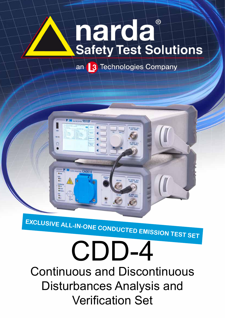# $^{\circledR}$ narda **Safety Test Solutions**

an 3 Technologies Company



**P. M INVESTIGA 90108** 

**M** CUCK ANNUARY CA0010

ဂ

# CDD-4 Continuous and Discontinuous Disturbances Analysis and Verification Set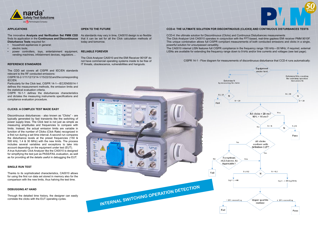#### **OPEN TO THE FUTURE**

The innovative **Analysis and Verification Set PMM CDD** As standards may vary in time, CA0010 design is so flexible that it can be set for all the Click calculation methods of today and tomorrow.

#### **RELIABLE FOREVER**

The Click Analyzer CA0010 and the EMI Receiver 9010F do not have commercial operating systems inside to be free of IT threats, obsolescence, vulnerabilities and hangouts.

### **CCD-4: THE ULTIMATE SOLUTION FOR DISCONTINUOUS (CLICKS) AND CONTINUOUS DISTURBANCES TESTS**

CCD-4: the ultimate solution for Discontinuous (Clicks) and Continuous Disturbances measurements The Click Analyzer Unit CA0010 operates in conjunction with the FFT-based, real-time gapless EMI receiver PMM 9010F. This unique combination allows full CISPR compliant measurements of both conducted emissions and clicks in a single, powerful solution for unsurpassed versatility.

The CA0010 internal LISN features full CISPR compliance in the frequency range 150 kHz—30 MHz; if required, external LISNs are available for extending the frequency range down to 9 kHz and/or line currents and voltages (see last page).



#### **APPLICATIONS**

finds its application in the **Continuous and Discontinuous Disturbance Tests** required for:

- household appliances in general;
- electric tools;
- power controllers, toys, entertainment equipment, vending machines, infotainment devices, regulators…

#### **REFERENCE STANDARDS**

The CDD set covers all CISPR and IEC/EN standards relevant to the RF conducted emissions:

CISPR 16-2-1/11/12/13/14-1/15/22/32 and the corresponding IEC/EN.

Particularly for the Click test, CISPR 14-1—IEC/EN55014-1 defines the measurement methods, the emission limits and the statistical evaluation criteria.

CISPR 16-1-1 defines the disturbances characteristics and dictates the measuring instruments specifications and compliance evaluation procedure.

#### **CLICKS: A COMPLEX TEST MADE EASY**

Discontinuous disturbances - also known as "Clicks" - are typically generated by fast transients like the switching of power supply lines. The Click test is not just as simple as measuring amplitudes and frequencies to compare with limits. Instead, the actual emission limits are variable in function of the number of Clicks (Click Rate) recognized in a first run during a set time interval. A second run compares the disturbance levels at the preset frequencies (150 & 500 kHz, 1.4 & 30 MHz) with the new limits. The process includes several variables and exceptions to take into account depending on the equipment under test (EUT). A true Automatic Click Analyzer like the CA0010 is designed for simplifying the test just as PASS/FAIL evaluation, as well as for providing all the details useful in debugging the EUT.

#### **SINGLE RUN TEST**

Thanks to its sophisticated characteristics, CA0010 allows for using the first run data set stored in memory also for the comparison with the new limits, thus halving the test time.

#### **DEBUGGING AT HAND**

Through the detailed time history, the designer can easily correlate the clicks with the EUT operating cycles.

CISPR 14-1 - Flow diagram for measurements of discontinuous disturbance that CCD-4 runs automatically:

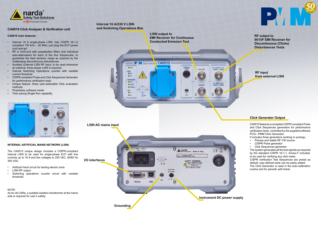

# **CA0010 Click Analyzer & Verification unit**

#### **CA0010 main features:**

- Internal 16 A single-phase LISN, fully CISPR 16-1-2 compliant 150 kHz – 30 MHz: just plug the EUT power cord and go!
- RF in front-end with preselection filters and individual auto-attenuators for each of the four frequencies, to guarantee the best dynamic range as required by the challenging discontinuous disturbances
- Auxiliary External LISN RF input, to be used whenever an external, three-phase LISN is required.
- Internal Switching Operations counter with variable current threshold
- CISPR compliant Pulse and Click Sequences Generator for performance verification tests
- Unique feature: three user-selectable Click evaluation methods
- Proprietary software inside
- Time saving Single Run capability



#### **INTERNAL ARTIFICIAL MAINS NETWORK (LISN)**

The CA0010 unique design includes a CISPR-compliant internal LISN to be used for single-phase EUT with line currents up to 16 A and line voltages to 250 VAC, 50/60 Hz 350 VDC.

- Artificial Hand circuit for testing electric tools
- LISN RF output
- Switching operations counter circuit with variable threshold

#### NOTE:

As for all LISNs, a suitable isolation transformer at the mains side is required for user's safety.





**I/O interfaces**

**Internal 16 A/230 V LISN and Switching Operations Box**

**O LINE** 

DATA  $Q$  RX

A<sub>TX</sub> **GENERATOR OON** 

 $Q$   $C$   $C$  $K$ 

 $\Theta$ 

 $Q<sub>12</sub>$ 

**O** PULSE C. **LISN** 

# **Click Generator Output**

CA0010 features a complete CISPR compliant Pulse and Click Sequences generation for performance verification tests, controlled by the supplied software PCG—PMM Click Generator.

It includes three generators working in synergy:

- Precise and stable RF CW source
- CISPR Pulse generator
- Click Sequences generator

The system generates all the test signals as required by the standard CISPR 16-1-1, Annex-F included, to be used for verifying any click meter.

CISPR verification Test Sequences are preset as default; user-defined tests can be easily added.

The Click Generator is used in the auto-calibration routine and for periodic self-check.

**LISN output to EMI Receiver for Continuous Conducted Emission Test**

**ARTIFICIAL** 

 $\frac{1}{2}$ 

**USN OUT** 

Θ

CAL OU

 $\bigodot$ 

RF OUTPUT 50 Q

 $\boldsymbol{\Theta}$ 

RF INPUT 500

 $\left( \begin{matrix} \bullet \end{matrix} \right)$ 

**P. M** CLICK ANALYZ & CA0010

ARTIFICIAL MAINS NETWORK T6A



**RF output to 9010F EMI Receiver for Discontinuous (Clicks) Disturbances Tests**

**RF input from external LISN**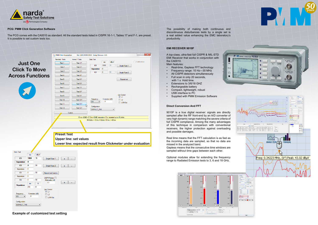

#### **PCG: PMM Click Generation Software**

The PCG comes with the CA0010 as standard. All the standard tests listed in CISPR 16-1-1, Tables 17 and F-1, are preset. It is possible to set custom tests too.

The possibility of making both continuous and discontinuous disturbances tests by a single set is a real added value enhancing the EMC laboratory's productivity.

#### **EMI RECEIVER 9010F**

- 
- 
- 
- Full scan in only 20 seconds,
- Extensions to 3/6/18 GHZ
- Rechargeable battery
- Compact, lightweight, robust
- USB interface to PC
- Supplied with PMM Emission Software

A top-class, ultra-fast full CISPR & MIL-STD EMI Receiver that works in conjunction with the CA0010. Main features:

#### **Direct Conversion And FFT**



9010F is a true digital receiver: signals are directly sampled after the RF front-end by an A/D converter of very high dynamic range matching the severe criteria of full CISPR compliance. Among the many advantages of this technique in comparison with conventional receivers, the higher protection against overloading and possible damages.

Real time means that the FFT calculation is as fast as the incoming data are sampled, so that no data are missed in the analyzed band.

sampled without time gaps between each other.

Optional modules allow for extending the frequency range to Radiated Emission tests to 3, 6 and 18 GHz.

**Example of customized test setting**

Separation

 $E3$ 

Separation

 $E4$ 

Repet

Frequency

 $\begin{bmatrix} 0.5 \end{bmatrix}$   $\bullet$ 

Configuration DEFAULT\_TAB

⊟n

 $\sqrt{2}$ 

 $\sqrt{2}$ 

 $ms$ 

 $\overline{\mathbf{0}}$ 

 $\overline{210}$ 

50

50

 $\overline{0}$ 

Correction (dB)

 $\overline{\phantom{a}}$ 

Repeat test Custom

CISPR Pulses

Attenuation dB

 $3.3$ 

Lisn Control  $V$  L1

 $\Box$  L2

|                         | <b>NO</b> PMM Click Generation |                               | Rel. 1.04 24/04/2018 Setup Release: 1.01                              |          |                 |                                           | $\mathbf{x}$<br>$\Box$                                       |
|-------------------------|--------------------------------|-------------------------------|-----------------------------------------------------------------------|----------|-----------------|-------------------------------------------|--------------------------------------------------------------|
|                         | Standard Tests                 | Annex F Tests                 | Data Test                                                             |          |                 |                                           |                                                              |
| <b>Just One</b>         | Test 1                         | Test 1 F                      |                                                                       | ms       | dBuV            |                                           | <b>Calibration</b>                                           |
|                         | Test 2                         | Test 2 F                      | E1                                                                    | 1900     | 76              | Single Pulse 1                            |                                                              |
| <b>Click To Move</b>    | Test 3                         | Test 3 F                      | <b>Separation</b>                                                     | 0        |                 |                                           |                                                              |
| <b>Across Functions</b> | Test 4                         | Test 4 F                      | <b>E2</b>                                                             | $\bf{0}$ | 50              | Single Pulse 2                            |                                                              |
|                         | Test 5                         | Test 5F                       |                                                                       |          |                 | Repeat test                               |                                                              |
|                         | Test 6                         | Test 6 F                      |                                                                       |          |                 |                                           |                                                              |
|                         | Test 7                         | Test 7F                       |                                                                       |          |                 |                                           |                                                              |
|                         | Test 8                         | Test 8 F                      |                                                                       |          |                 |                                           |                                                              |
| $\mathbf{z}$            |                                |                               |                                                                       |          |                 | Lisn Control                              |                                                              |
|                         | Test 9                         | Test 9 F                      | Frequency                                                             |          | Correction (dB) | $\sqrt{11}$                               |                                                              |
|                         | Test 10                        | Test 10 F                     | 0.5                                                                   | 0        |                 | $\Box$ L <sub>2</sub><br><b>ELISN Out</b> |                                                              |
|                         | Test 11                        | Test 11 F                     | Configuration                                                         |          |                 |                                           |                                                              |
|                         | Test 12                        | Test 12 F                     | DEFAULT_TAB                                                           |          |                 |                                           |                                                              |
|                         |                                | Custom                        |                                                                       |          |                 |                                           |                                                              |
|                         |                                |                               | 15 ms +20dB + 9* 5ms +20dB, separation 13 s, repeated up to 40 clicks |          |                 |                                           |                                                              |
|                         |                                |                               | 36 Clicks <= 10 ms; 4 Clicks > 10 ms, <= 20 ms                        |          |                 |                                           |                                                              |
|                         |                                |                               |                                                                       |          |                 |                                           |                                                              |
|                         | <b>Preset Test</b>             |                               |                                                                       |          |                 |                                           |                                                              |
|                         |                                | <b>Upper line: set values</b> |                                                                       |          |                 |                                           |                                                              |
|                         |                                |                               |                                                                       |          |                 |                                           | Lower line: expected result from Clickmeter under evaluation |
|                         |                                |                               |                                                                       |          |                 |                                           |                                                              |
| Data Test<br>dBuV<br>ms |                                |                               |                                                                       |          |                 |                                           |                                                              |
| 1900<br>76<br>E1        | Single Pulse 1<br>+            |                               |                                                                       |          |                 |                                           |                                                              |
|                         |                                |                               |                                                                       |          |                 |                                           |                                                              |
| 0<br><b>Separation</b>  |                                |                               |                                                                       |          |                 |                                           |                                                              |

LISN Out

 $+$   $-$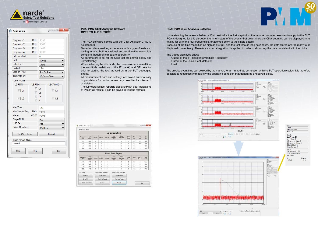

| <b>B</b> Click Setup         |            |                |                | <u>— El</u> | $\mathbf{x}$ |
|------------------------------|------------|----------------|----------------|-------------|--------------|
|                              |            |                |                |             |              |
| Frequency 1:                 | <b>MHz</b> | 0.150          |                |             |              |
| Frequency 2:                 | <b>MHz</b> | 0.500          |                |             |              |
| Frequency 3:                 | <b>MHz</b> | 1.400          |                |             |              |
| Frequency 4:<br><b>MHz</b>   |            | 30.000         |                |             |              |
| Extenemal Att.:              |            | 0              |                |             |              |
| Limit:                       |            | <b>NONE</b>    |                |             |              |
| Calc N on:                   |            | Clicks         |                |             |              |
| Factor f:                    |            | 1.00           |                |             |              |
| Stop on FAIL:                |            | End Of Step    |                |             |              |
| Terminate on:                |            |                | 40 Clicks/Time |             |              |
| Line: NONE                   |            |                |                |             |              |
| L2 PMM                       | L3 PMM     |                |                | L2 CA0010   |              |
| $\Box$ L1                    | <b>COL</b> | L1             |                | $\Box$ L1   |              |
|                              |            | $\Box$ 12      |                |             |              |
| $\Box$ L2                    |            | L <sub>3</sub> |                | $\Box$ L2   |              |
|                              | <b>COL</b> | N              |                |             |              |
| Max Time:                    |            | 120            |                |             |              |
| Idle/Search Freq: MHz        |            | 0.500          |                |             |              |
| Idle lev:                    | dBuV       | 56.00          |                |             |              |
| Single RUN:                  |            | Yes            |                |             |              |
| USE E4:                      |            | Yes            |                |             |              |
| Rates/Quartiles:             |            |                | 2/2 [STD]      |             |              |
| Set Click Setup              |            |                | Default        |             |              |
| Measurement Name<br>Untitled |            |                |                |             |              |
|                              |            |                |                |             |              |
| Start                        | Idle       |                |                | Exit        |              |

#### **PCA: PMM Click Analysis Software OPEN TO THE FUTURE!**

The PCA software comes with the Click Analyzer CA0010 as standard.

Based on decades-long experience in this type of tests and having in mind both occasional and continuative users, it is complete though of immediate operability.

All parameters to set for the Click test are shown clearly and unmistakably.

When selecting the Idle mode, the user can check in real time the amplitude variations of the IF (peak) and QP detector prior to starting the test, as well as in the EUT debugging phase.

All measurement data and settings are saved automatically in proprietary format to prevent any possible file mismatch or deletion.

The fully detailed test report is displayed with clear indications of Pass/Fail results; it can be saved in various formats.

|                   |                           |        |         |        | Lq Calculation           |                                           |                       |                        |                             |                                                  |
|-------------------|---------------------------|--------|---------|--------|--------------------------|-------------------------------------------|-----------------------|------------------------|-----------------------------|--------------------------------------------------|
| Frequency<br>MHz  | <b>Limit</b><br>dBaV      | c+10mi | $0-20m$ | 0.028  | Form<br>Exception<br>E4  | Other<br>than click<br>me                 | Total<br><b>Cloke</b> | Time<br>min<br>$-1.44$ | $\frac{1}{2}$<br>right      | alg<br>dB                                        |
| 0.15              | 56.0                      | ø      | ø       | t      |                          | Ð                                         | 1                     | 0.9                    | 11                          | 28.6                                             |
| 0.50              | 56.0                      | o      | o       | 1      | ٠                        | 10                                        | 1                     | 09                     | 1.1                         | 28.6                                             |
|                   |                           |        |         |        | 1                        | ö                                         | 1                     | 0.9                    | $\sim$                      | 28.6                                             |
| 1.40              | 56.0                      | ø      | ø       |        |                          |                                           |                       |                        |                             |                                                  |
| 30.00             | 56.0                      | ø      | o       | à      | <b>Final Test Report</b> | ö                                         | ¥                     | 09                     | $\sim$                      |                                                  |
| Milt              | Lind<br>Quartie<br>dilull | Ex10ma | cx20ms  | 640 2s | From<br>Esception<br>54  | <b>Cithes</b><br>than olds:<br><b>Hid</b> | Total<br>Clicks       | Time<br>min.           | Max Cluck<br><b>Allmend</b> | 28.6<br>$\frac{P_{\text{crit}}}{P_{\text{eff}}}$ |
| 0.15              | 84.6                      | ø      | Ö       | ö      |                          | 0                                         | ŏ                     | 0.9                    | Ö.                          | Pass                                             |
| Frequency<br>0.50 | 84.6                      | ø      | ó       | ö      | Ľ.                       | ø                                         | ö                     | 65                     | ô                           | Pass                                             |
| 1.40              | 84.6                      | ø      | Ď       | ö      | ٠                        | 0                                         | ō                     | 0.9                    | ó                           | Pass                                             |

First Test Report Al Table

**W** Untitled Click Report

Says RTF

Save RTF and highlights.

**First Test Report** 

Al Table

**Contact Contact Contact Contact Contact Contact Contact Contact** 

Det.

- Output of the IF (digital Intermediate Frequency)<br>• Output of the Quasi-Peak detector
- Output of the Quasi-Peak detector
- Limit

# **PCA: PMM Click Analysis Software**

Understanding the reasons behind a Click test fail is the first step to find the required countermeasures to apply to the EUT. PCA is designed for this purpose: the time history of the events that determined the Click counting can be displayed in its totality for all of the four frequencies, or zoomed down to the single details. Because of the time resolution as high as 500 μS, and the test time as long as 2 hours, the data stored are too many to be displayed conveniently. Therefore a special algorithm is applied in order to show only the data consistent with the clicks.

The traces displayed show:

The precise event time can be read by the marker, for an immediate correlation with the EUT operation cycles. It is therefore possible to recognize immediately the operating condition that generated undesired clicks.





|                                                                                                                                                                                                                                                                                                                                                                                                                                                                                       | China 1<br>Tana da (11 A)<br>Mare 1 A<br>$\tau_{\rm BH}$<br>$\frac{\partial \mathbf{r}_{\text{tot}}}{\partial \mathbf{r}^{\text{H}}}$ | Civil<br>78.45<br>保城市                                                                                              |                                                                                                                                                                                                                                 |                |
|---------------------------------------------------------------------------------------------------------------------------------------------------------------------------------------------------------------------------------------------------------------------------------------------------------------------------------------------------------------------------------------------------------------------------------------------------------------------------------------|---------------------------------------------------------------------------------------------------------------------------------------|--------------------------------------------------------------------------------------------------------------------|---------------------------------------------------------------------------------------------------------------------------------------------------------------------------------------------------------------------------------|----------------|
|                                                                                                                                                                                                                                                                                                                                                                                                                                                                                       | 2001<br>The 2011 AT<br>App 23<br>$\frac{1}{16} \mu$<br>m                                                                              | f e 20a 1<br>  + 20a 1<br>  10a 1<br>$^{+76 +1}$<br>e design as<br>19 The Girls<br>1983                            |                                                                                                                                                                                                                                 |                |
|                                                                                                                                                                                                                                                                                                                                                                                                                                                                                       | Out 1<br>Tes Gérig<br>far-<br>罰                                                                                                       | $\overline{a}$<br>tian (<br>- (− 20mg )<br>- (− 200mg )<br>One TCHEE<br>UN TCHEE<br>4100.48<br><b>GREE</b>         |                                                                                                                                                                                                                                 |                |
| JN1                                                                                                                                                                                                                                                                                                                                                                                                                                                                                   | Calle 1<br>The plat of<br>$\frac{\pi}{4886}$<br>跏                                                                                     | Tamped<br>Simples<br>Simples<br>Simples<br>un er<br>Teles<br>G                                                     | Data<br>Clicks: 1<br>Time: 00:00:41                                                                                                                                                                                             |                |
| $\begin{tabular}{ c c c c c c c c c } \hline $\mathbf{a}$ & $\mathbf{a}$ & $\mathbf{a}$ \\ \hline $\mathbf{a}$ & $\mathbf{a}$ & $\mathbf{a}$ & $\mathbf{a}$ \\ \hline $\mathbf{a}$ & $\mathbf{a}$ & $\mathbf{a}$ & $\mathbf{a}$ \\ \hline $\mathbf{a}$ & $\mathbf{a}$ & $\mathbf{a}$ & $\mathbf{a}$ \\ \hline $\mathbf{a}$ & $\mathbf{a}$ & $\mathbf{a}$ & $\mathbf{a}$ \\ \hline $\mathbf{a}$ & $\mathbf{a}$ & $\mathbf{a}$ & $\mathbf{a}$ \\ \hline $\mathbf{a}$ & $\mathbf{a$<br>ш |                                                                                                                                       | <b>Children</b>                                                                                                    | Details<br>Last T (ms): 66<br>$d \le 10$ ms: 0<br>$10 \text{ ms} < d < 20 \text{ ms}$ : 0<br>20 ms < d <= 200ms: 1<br>E2 (d>200ms): 0<br>Other T.C.(ms): 0<br>E4:0<br>QP Delta (dB): -12.0<br>Obs. Time: 02:00:00<br>Ref (56.0) |                |
|                                                                                                                                                                                                                                                                                                                                                                                                                                                                                       |                                                                                                                                       | Desi<br>Debi I<br>Fan III II<br>Fan II<br>044<br>27 September 121<br>27 September 121<br>1970 S<br>$\frac{1}{100}$ | IF-<br>23.42                                                                                                                                                                                                                    | QPeak<br>55.42 |
| mmat                                                                                                                                                                                                                                                                                                                                                                                                                                                                                  | <b>SAMA</b>                                                                                                                           |                                                                                                                    |                                                                                                                                                                                                                                 |                |
| g<br>$\begin{tabular}{ c c c c c } \hline $5\sigma\sigma$ & $5\sigma\sigma$ & $5\sigma\sigma$ \\ \hline & $5\sigma\sigma$ & $5\sigma\sigma\sigma\sigma$ & $5\sigma\sigma\sigma\sigma$ \\ \hline \end{tabular}$                                                                                                                                                                                                                                                                        |                                                                                                                                       |                                                                                                                    |                                                                                                                                                                                                                                 |                |

 $\mathbf{P}$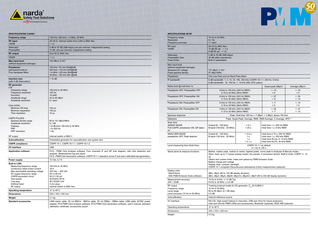| <b>SPECIFICATIONS 9010F</b>                                                                    |                                                                                                                                                                                                                                                                                                                                                                                                                                           |                  |                                                                            |                    |  |
|------------------------------------------------------------------------------------------------|-------------------------------------------------------------------------------------------------------------------------------------------------------------------------------------------------------------------------------------------------------------------------------------------------------------------------------------------------------------------------------------------------------------------------------------------|------------------|----------------------------------------------------------------------------|--------------------|--|
| Frequency range<br><b>Resolution</b><br>Frequency accuracy                                     | 10 Hz to 30 MHz<br>$0.1$ Hz<br>$<$ 1 ppm                                                                                                                                                                                                                                                                                                                                                                                                  |                  |                                                                            |                    |  |
| <b>RF</b> input<br><b>VSWR</b>                                                                 | Zin 50 Ω, BNC fem.<br>10 dB RF att.: $< 1.2$<br>0 dB RF att.: $< 1.6$                                                                                                                                                                                                                                                                                                                                                                     |                  |                                                                            |                    |  |
| Attenuator<br><b>Preamplifier Gain</b><br>Pulse limiter                                        | 0 dB to 35 dB (5dB steps)<br>20 dB (after preselector)<br>Built in (selectable)                                                                                                                                                                                                                                                                                                                                                           |                  |                                                                            |                    |  |
| Max input level<br>(without equipment damage)<br>Sinewave AC voltage<br>Pulse spectral density | 137 dBµV (1 W)*<br>97 dBµV/MHz                                                                                                                                                                                                                                                                                                                                                                                                            |                  |                                                                            |                    |  |
| Preselector                                                                                    | One Low Pass and six Band Pass filters                                                                                                                                                                                                                                                                                                                                                                                                    |                  |                                                                            |                    |  |
| IF bandwidth                                                                                   | 6 dB bandwidth: 1, 3, 10, 30, 100, 300 kHz (CISPR 16-1-1; 200 Hz, 9 kHz)<br>6 dB bandwidth: 10, 100 Hz; 1, 10 kHz (MIL-STD option)                                                                                                                                                                                                                                                                                                        |                  |                                                                            |                    |  |
| Noise level @ hold time 1s                                                                     |                                                                                                                                                                                                                                                                                                                                                                                                                                           |                  | Quasi-peak (dBµV)                                                          | Average (dBµV)     |  |
| Preselector OFF, Preamplifier OFF                                                              | 9 kHz to 150 kHz (200 Hz RBW)<br>0.15 to 30 MHz (9kHz RBW)                                                                                                                                                                                                                                                                                                                                                                                |                  | $< -13$<br>< 5                                                             | $< -16$<br>< 0     |  |
| Preselector OFF, Preamplifier ON                                                               | 9 kHz to 150 kHz (200 Hz RBW)<br>0.15 to 30 MHz (9kHz RBW)                                                                                                                                                                                                                                                                                                                                                                                |                  | $< -27$<br>$\leq -9$                                                       | $< -30$<br>$< -14$ |  |
| Preselector ON, Preamplifier OFF                                                               | 9 kHz to 150 kHz (200 Hz RBW)<br>0.15 to 30 MHz (9kHz RBW)                                                                                                                                                                                                                                                                                                                                                                                | $\leq -7$<br>< 5 | $< -10$<br>$\leq 0$                                                        |                    |  |
| Preselector ON, Preamplifier ON                                                                | 9 kHz to 150 kHz (200 Hz RBW)<br>$< -24$<br>$< -27$<br>$< -12$<br>0.15 to 30 MHz (9kHz RBW)<br>$< -7$                                                                                                                                                                                                                                                                                                                                     |                  |                                                                            |                    |  |
| Spurious response                                                                              |                                                                                                                                                                                                                                                                                                                                                                                                                                           |                  | Peak, Hold time 100 ms < -7 dBµV, < 3 dBµV, above 150 kHz                  |                    |  |
| Detectors                                                                                      |                                                                                                                                                                                                                                                                                                                                                                                                                                           |                  | Peak, Quasi-Peak, Average, RMS, RMS-Average, C-Average, APD <sup>(1)</sup> |                    |  |
| Scan time<br><b>SWEEP MODE</b><br>FUII CISPR: preselector ON, QP detec-<br>tor                 | A band (9 - 150 kHz)<br>< 5s<br>Hold time 1 s, 200 Hz RBW<br>B band (150 kHz - 30 MHz)<br>$< 20$ s<br>Hold time 1 s, 9 kHz RBW                                                                                                                                                                                                                                                                                                            |                  |                                                                            |                    |  |
| <b>ANALYZER MODE</b><br>preselector OFF, Peak detector                                         | A band (9 - 150 kHz)<br>Hold time 0.15 s, 200 Hz RBW<br>$< 0.5$ s<br>B band (150 kHz - 30 MHz)<br>Hold time 1 s, 300 kHz RBW<br>1 <sub>s</sub><br>1 <sub>s</sub><br>Hold time 50 ms, 9, 10 kHz RBW<br>Hold time AUTO, 30 kHz RBW<br>0.1 s                                                                                                                                                                                                 |                  |                                                                            |                    |  |
| Level measuring time (Hold time)                                                               | CISPR 16-1-1 as default<br>0.1 ms to 120 s                                                                                                                                                                                                                                                                                                                                                                                                |                  |                                                                            |                    |  |
| Stand alone & measure functions                                                                | Marker, marker peak, marker to center, highest peaks, move peak to Analyzer & Manual modes.<br>Store -load: up to 11 traces (sweep mode), two panels, 4 conversion factors. Built-in limits: CISPR 11, 14,<br>22.<br>Others and custom limits: make and upload by PMM Emission Suite<br>Battery charge and voltage<br>Display style, contrast, backlight<br>CISPR 14-1 compliant Discontinuous disturbance (Click) measurement (optional) |                  |                                                                            |                    |  |
| Display units<br><b>Stand Alone</b><br>With PMM Emission Suite software                        | dBm, dBµV (80 to 120 dB display dynamic)<br>dBm, dBµV, dBµA, dBpW, dBµV/m, dBµA/m, dBpT (80 to 200 dB display dynamic)                                                                                                                                                                                                                                                                                                                    |                  |                                                                            |                    |  |
| Measurement accuracy<br>S/N > 20dB                                                             | 10 Hz to 9 kHz: ± 1.0 dB Typ<br>9 kHz to 30 MHz: ± 0.8 dB                                                                                                                                                                                                                                                                                                                                                                                 |                  |                                                                            |                    |  |
| RF output<br>Frequency range<br>Level range<br>Level accuracy (10 Hz to 30 MHz)                | Tracking (manual mode) & CW generator, $Z_{out}$ 50 $\Omega$ , BNC-f.<br>10 Hz to 50 MHz<br>60 to 90 dBµV (0.1 dB step)<br>$0.5$ dB                                                                                                                                                                                                                                                                                                       |                  |                                                                            |                    |  |
| Autocalibration                                                                                | Internal reference source                                                                                                                                                                                                                                                                                                                                                                                                                 |                  |                                                                            |                    |  |
| I/O interface                                                                                  | RS-232, High speed Optical (2 channels), USB rear (front for future extension),<br>User port (Drives PMM LISNs and accessories), Bluetooth (optional), IEEE-488 (optional)                                                                                                                                                                                                                                                                |                  |                                                                            |                    |  |
| Operating temperature                                                                          | -5 $^{\circ}$ to 45 $^{\circ}$ C                                                                                                                                                                                                                                                                                                                                                                                                          |                  |                                                                            |                    |  |
| Dimensions                                                                                     | 235 x 105 x 335 mm                                                                                                                                                                                                                                                                                                                                                                                                                        |                  |                                                                            |                    |  |
| Weight                                                                                         | 4.3 kg                                                                                                                                                                                                                                                                                                                                                                                                                                    |                  |                                                                            |                    |  |



| <b>SPECIFICATIONS CA0001</b>                                                                                                                                                                                                                   |                                                                                                                                                                                                                                                         |
|------------------------------------------------------------------------------------------------------------------------------------------------------------------------------------------------------------------------------------------------|---------------------------------------------------------------------------------------------------------------------------------------------------------------------------------------------------------------------------------------------------------|
| <b>Frequency range</b>                                                                                                                                                                                                                         | 150 kHz; 500 kHz; 1,4 MHz; 30 MHz                                                                                                                                                                                                                       |
| <b>RF</b> input<br><b>VSWR</b>                                                                                                                                                                                                                 | Zin 50 $Ω$ , Internal switch from LISN or BNC fem.<br>< 1.2                                                                                                                                                                                             |
| Attenuator<br>Preamplifier                                                                                                                                                                                                                     | 0 dB to 35 dB (5dB steps) one per channel, independent setting<br>15 dB, one per channel, independent setting                                                                                                                                           |
| <b>RF</b> output                                                                                                                                                                                                                               | Zout 50 Ω, BNC fem.                                                                                                                                                                                                                                     |
| <b>VSWR</b>                                                                                                                                                                                                                                    | < 1.2                                                                                                                                                                                                                                                   |
| <b>Max input level</b><br>(without equipment damage)                                                                                                                                                                                           | 140 dBuV (2 W)*                                                                                                                                                                                                                                         |
| <b>Preselector</b><br>(permanent built-in)<br>Four bandpass filters                                                                                                                                                                            | 150 kHz / 60 kHz BW@6dB<br>500 kHz / 120 kHz BW@6dB<br>1,4 MHz / 220 kHz BW@6dB<br>30 MHz / 180 kHz BW @6dB                                                                                                                                             |
| <b>Insertion loss</b><br>(with 0 dB Attenuation)                                                                                                                                                                                               | $< 10$ dB                                                                                                                                                                                                                                               |
| <b>RF</b> generator<br><b>CW</b><br>Frequency range<br>Frequency resolution<br>Accuracy<br>Amplitude range<br>Amplitude resolution<br>Click (OOK)                                                                                              | 150 kHz to 30 MHz<br>100 Hz<br>10 ppM<br>20 to 95 dBµV<br>$0,1$ ppm                                                                                                                                                                                     |
| Minimum ON time<br>Minimum separation<br>Time resolution                                                                                                                                                                                       | $100 \mu s$<br>$100 \mu s$<br>$10 \mu s$                                                                                                                                                                                                                |
| <b>CISPR PULSES</b><br>Spectral density range<br>Amplitude resolution<br><b>Flatness</b><br><b>PRF</b><br>PRF resolution                                                                                                                       | 80 to 101 dBµV/MHz<br>$0.1$ dB<br>1.8 dB from 150 kHz to 30 MHz<br>1 to 500 Hz<br>1 Hz                                                                                                                                                                  |
| RF output                                                                                                                                                                                                                                      | Internal switch or BNC-f.                                                                                                                                                                                                                               |
| Autocalibration                                                                                                                                                                                                                                | Embedded generator for autocalibration and system test                                                                                                                                                                                                  |
| <b>CISPR compliance</b>                                                                                                                                                                                                                        | CISPR 14-1, CISPR 16-1-1, CISPR 16-1-2                                                                                                                                                                                                                  |
| I/O interface                                                                                                                                                                                                                                  | <b>USB</b>                                                                                                                                                                                                                                              |
| <b>Application software</b>                                                                                                                                                                                                                    | PCA - PMM Click Analysis software. Four channels IF and QP time diagram, with click detection and<br>analysis. Measurement log and report.<br>PCG - PMM Click Generation software. CISPR 16-1-1 standard, annex F and user's definable test generation. |
| <b>Power supply</b>                                                                                                                                                                                                                            | 12 Vdc, 0,7 A                                                                                                                                                                                                                                           |
| <b>Built-in LISN</b><br>Measuring frequency range<br>Continuous rated output current<br>Max permissible operating voltage<br>AC supply frequency range<br>CISPR equivalent circuit<br>Test socket<br>Line plug<br>Artificial hand<br>RF output | 150 kHz to 30 MHz<br>16 A<br>250 Vac - 350 Vdc<br>DC to 60 Hz<br>50 Ω // 50 µH<br>SCHUKO 2P+E<br>IEC 60320 C20<br>4 mm plug<br>Internal switch or BNC fem.                                                                                              |
| <b>Operating temperature</b>                                                                                                                                                                                                                   | $-5^\circ$ to $45^\circ$ C                                                                                                                                                                                                                              |
| <b>Dimensions</b>                                                                                                                                                                                                                              | 235 x 105 x 335 mm                                                                                                                                                                                                                                      |
| Weight                                                                                                                                                                                                                                         | 4.1 kg                                                                                                                                                                                                                                                  |
| <b>Standard accessories</b>                                                                                                                                                                                                                    | LISN mains cable, 25 cm BNCm - BNCm cable, 25 cm DB9m - DB9m cable, USB cable, AC/DC power<br>adapter, PCA PMM Click Analysis software, PCG PMM Click Generation software, user's manual, standard<br>calibration certificate, accessories pouch.       |